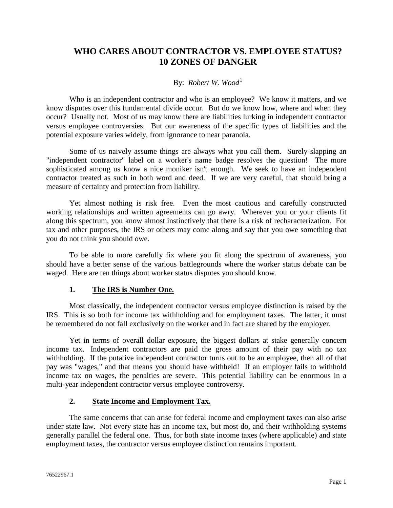# **WHO CARES ABOUT CONTRACTOR VS. EMPLOYEE STATUS? 10 ZONES OF DANGER**

#### By: *Robert W. Wood*<sup>[1](#page-3-0)</sup>

Who is an independent contractor and who is an employee? We know it matters, and we know disputes over this fundamental divide occur. But do we know how, where and when they occur? Usually not. Most of us may know there are liabilities lurking in independent contractor versus employee controversies. But our awareness of the specific types of liabilities and the potential exposure varies widely, from ignorance to near paranoia.

Some of us naively assume things are always what you call them. Surely slapping an "independent contractor" label on a worker's name badge resolves the question! The more sophisticated among us know a nice moniker isn't enough. We seek to have an independent contractor treated as such in both word and deed. If we are very careful, that should bring a measure of certainty and protection from liability.

Yet almost nothing is risk free. Even the most cautious and carefully constructed working relationships and written agreements can go awry. Wherever you or your clients fit along this spectrum, you know almost instinctively that there is a risk of recharacterization. For tax and other purposes, the IRS or others may come along and say that you owe something that you do not think you should owe.

To be able to more carefully fix where you fit along the spectrum of awareness, you should have a better sense of the various battlegrounds where the worker status debate can be waged. Here are ten things about worker status disputes you should know.

#### **1. The IRS is Number One.**

Most classically, the independent contractor versus employee distinction is raised by the IRS. This is so both for income tax withholding and for employment taxes. The latter, it must be remembered do not fall exclusively on the worker and in fact are shared by the employer.

Yet in terms of overall dollar exposure, the biggest dollars at stake generally concern income tax. Independent contractors are paid the gross amount of their pay with no tax withholding. If the putative independent contractor turns out to be an employee, then all of that pay was "wages," and that means you should have withheld! If an employer fails to withhold income tax on wages, the penalties are severe. This potential liability can be enormous in a multi-year independent contractor versus employee controversy.

## **2. State Income and Employment Tax.**

The same concerns that can arise for federal income and employment taxes can also arise under state law. Not every state has an income tax, but most do, and their withholding systems generally parallel the federal one. Thus, for both state income taxes (where applicable) and state employment taxes, the contractor versus employee distinction remains important.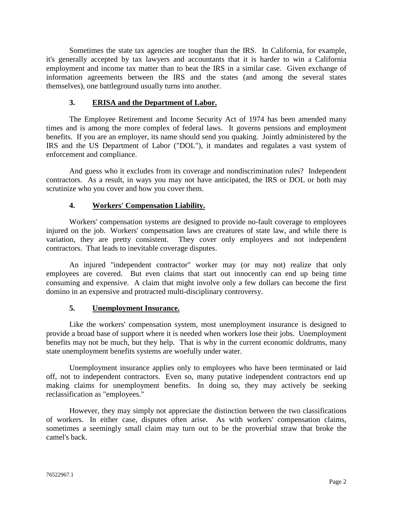Sometimes the state tax agencies are tougher than the IRS. In California, for example, it's generally accepted by tax lawyers and accountants that it is harder to win a California employment and income tax matter than to beat the IRS in a similar case. Given exchange of information agreements between the IRS and the states (and among the several states themselves), one battleground usually turns into another.

#### **3. ERISA and the Department of Labor.**

The Employee Retirement and Income Security Act of 1974 has been amended many times and is among the more complex of federal laws. It governs pensions and employment benefits. If you are an employer, its name should send you quaking. Jointly administered by the IRS and the US Department of Labor ("DOL"), it mandates and regulates a vast system of enforcement and compliance.

And guess who it excludes from its coverage and nondiscrimination rules? Independent contractors. As a result, in ways you may not have anticipated, the IRS or DOL or both may scrutinize who you cover and how you cover them.

#### **4. Workers' Compensation Liability.**

Workers' compensation systems are designed to provide no-fault coverage to employees injured on the job. Workers' compensation laws are creatures of state law, and while there is variation, they are pretty consistent. They cover only employees and not independent contractors. That leads to inevitable coverage disputes.

An injured "independent contractor" worker may (or may not) realize that only employees are covered. But even claims that start out innocently can end up being time consuming and expensive. A claim that might involve only a few dollars can become the first domino in an expensive and protracted multi-disciplinary controversy.

## **5. Unemployment Insurance.**

Like the workers' compensation system, most unemployment insurance is designed to provide a broad base of support where it is needed when workers lose their jobs. Unemployment benefits may not be much, but they help. That is why in the current economic doldrums, many state unemployment benefits systems are woefully under water.

Unemployment insurance applies only to employees who have been terminated or laid off, not to independent contractors. Even so, many putative independent contractors end up making claims for unemployment benefits. In doing so, they may actively be seeking reclassification as "employees."

However, they may simply not appreciate the distinction between the two classifications of workers. In either case, disputes often arise. As with workers' compensation claims, sometimes a seemingly small claim may turn out to be the proverbial straw that broke the camel's back.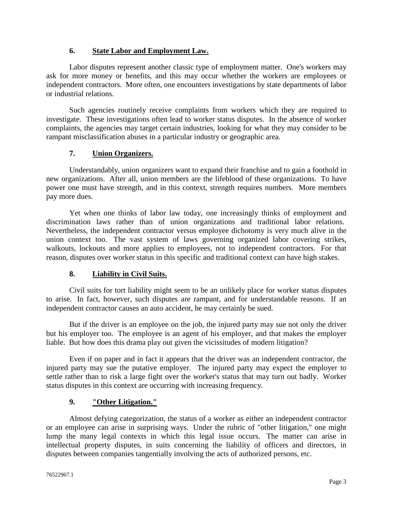#### **6. State Labor and Employment Law.**

Labor disputes represent another classic type of employment matter. One's workers may ask for more money or benefits, and this may occur whether the workers are employees or independent contractors. More often, one encounters investigations by state departments of labor or industrial relations.

Such agencies routinely receive complaints from workers which they are required to investigate. These investigations often lead to worker status disputes. In the absence of worker complaints, the agencies may target certain industries, looking for what they may consider to be rampant misclassification abuses in a particular industry or geographic area.

# **7. Union Organizers.**

Understandably, union organizers want to expand their franchise and to gain a foothold in new organizations. After all, union members are the lifeblood of these organizations. To have power one must have strength, and in this context, strength requires numbers. More members pay more dues.

Yet when one thinks of labor law today, one increasingly thinks of employment and discrimination laws rather than of union organizations and traditional labor relations. Nevertheless, the independent contractor versus employee dichotomy is very much alive in the union context too. The vast system of laws governing organized labor covering strikes, walkouts, lockouts and more applies to employees, not to independent contractors. For that reason, disputes over worker status in this specific and traditional context can have high stakes.

## **8. Liability in Civil Suits.**

Civil suits for tort liability might seem to be an unlikely place for worker status disputes to arise. In fact, however, such disputes are rampant, and for understandable reasons. If an independent contractor causes an auto accident, he may certainly be sued.

But if the driver is an employee on the job, the injured party may sue not only the driver but his employer too. The employee is an agent of his employer, and that makes the employer liable. But how does this drama play out given the vicissitudes of modern litigation?

Even if on paper and in fact it appears that the driver was an independent contractor, the injured party may sue the putative employer. The injured party may expect the employer to settle rather than to risk a large fight over the worker's status that may turn out badly. Worker status disputes in this context are occurring with increasing frequency.

# **9. "Other Litigation."**

Almost defying categorization, the status of a worker as either an independent contractor or an employee can arise in surprising ways. Under the rubric of "other litigation," one might lump the many legal contexts in which this legal issue occurs. The matter can arise in intellectual property disputes, in suits concerning the liability of officers and directors, in disputes between companies tangentially involving the acts of authorized persons, etc.